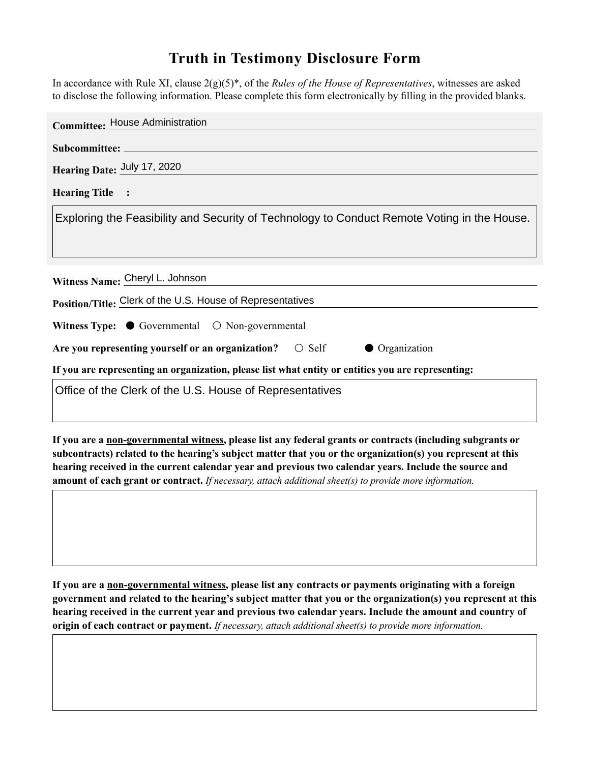## **Truth in Testimony Disclosure Form**

In accordance with Rule XI, clause 2(g)(5)\*, of the *Rules of the House of Representatives*, witnesses are asked to disclose the following information. Please complete this form electronically by filling in the provided blanks.

| <b>Committee: House Administration</b>                                                             |
|----------------------------------------------------------------------------------------------------|
|                                                                                                    |
| Hearing Date: July 17, 2020                                                                        |
| <b>Hearing Title :</b>                                                                             |
| Exploring the Feasibility and Security of Technology to Conduct Remote Voting in the House.        |
|                                                                                                    |
|                                                                                                    |
| Witness Name: Cheryl L. Johnson                                                                    |
| Position/Title: Clerk of the U.S. House of Representatives                                         |
| Witness Type: $\bullet$ Governmental $\circ$ Non-governmental                                      |
| Are you representing yourself or an organization? $\circ$ Self<br>• Organization                   |
| If you are representing an organization, please list what entity or entities you are representing: |
| Office of the Clerk of the U.S. House of Representatives                                           |

**If you are a non-governmental witness, please list any federal grants or contracts (including subgrants or subcontracts) related to the hearing's subject matter that you or the organization(s) you represent at this hearing received in the current calendar year and previous two calendar years. Include the source and amount of each grant or contract.** *If necessary, attach additional sheet(s) to provide more information.*

**If you are a non-governmental witness, please list any contracts or payments originating with a foreign government and related to the hearing's subject matter that you or the organization(s) you represent at this hearing received in the current year and previous two calendar years. Include the amount and country of origin of each contract or payment.** *If necessary, attach additional sheet(s) to provide more information.*